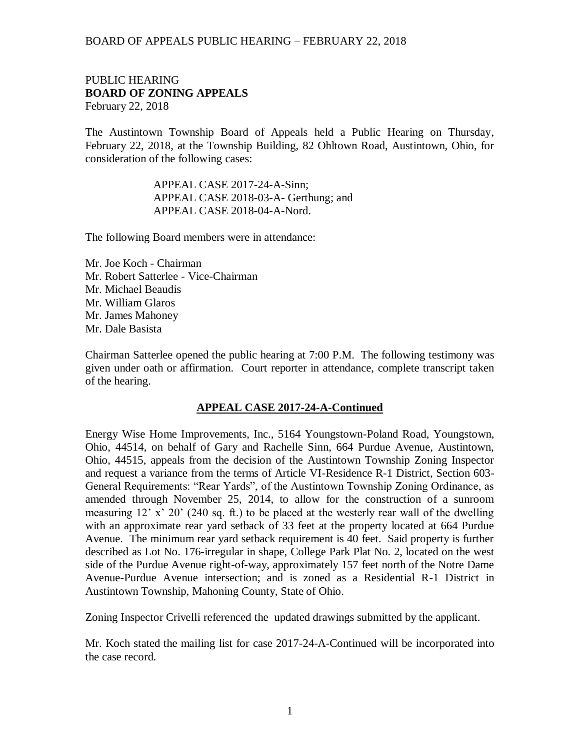### PUBLIC HEARING **BOARD OF ZONING APPEALS**  February 22, 2018

The Austintown Township Board of Appeals held a Public Hearing on Thursday, February 22, 2018, at the Township Building, 82 Ohltown Road, Austintown, Ohio, for consideration of the following cases:

> APPEAL CASE 2017-24-A-Sinn; APPEAL CASE 2018-03-A- Gerthung; and APPEAL CASE 2018-04-A-Nord.

The following Board members were in attendance:

Mr. Joe Koch - Chairman Mr. Robert Satterlee - Vice-Chairman Mr. Michael Beaudis Mr. William Glaros Mr. James Mahoney Mr. Dale Basista

Chairman Satterlee opened the public hearing at 7:00 P.M. The following testimony was given under oath or affirmation. Court reporter in attendance, complete transcript taken of the hearing.

### **APPEAL CASE 2017-24-A-Continued**

Energy Wise Home Improvements, Inc., 5164 Youngstown-Poland Road, Youngstown, Ohio, 44514, on behalf of Gary and Rachelle Sinn, 664 Purdue Avenue, Austintown, Ohio, 44515, appeals from the decision of the Austintown Township Zoning Inspector and request a variance from the terms of Article VI-Residence R-1 District, Section 603- General Requirements: "Rear Yards", of the Austintown Township Zoning Ordinance, as amended through November 25, 2014, to allow for the construction of a sunroom measuring  $12'$  x'  $20'$  (240 sq. ft.) to be placed at the westerly rear wall of the dwelling with an approximate rear yard setback of 33 feet at the property located at 664 Purdue Avenue. The minimum rear yard setback requirement is 40 feet. Said property is further described as Lot No. 176-irregular in shape, College Park Plat No. 2, located on the west side of the Purdue Avenue right-of-way, approximately 157 feet north of the Notre Dame Avenue-Purdue Avenue intersection; and is zoned as a Residential R-1 District in Austintown Township, Mahoning County, State of Ohio.

Zoning Inspector Crivelli referenced the updated drawings submitted by the applicant.

Mr. Koch stated the mailing list for case 2017-24-A-Continued will be incorporated into the case record.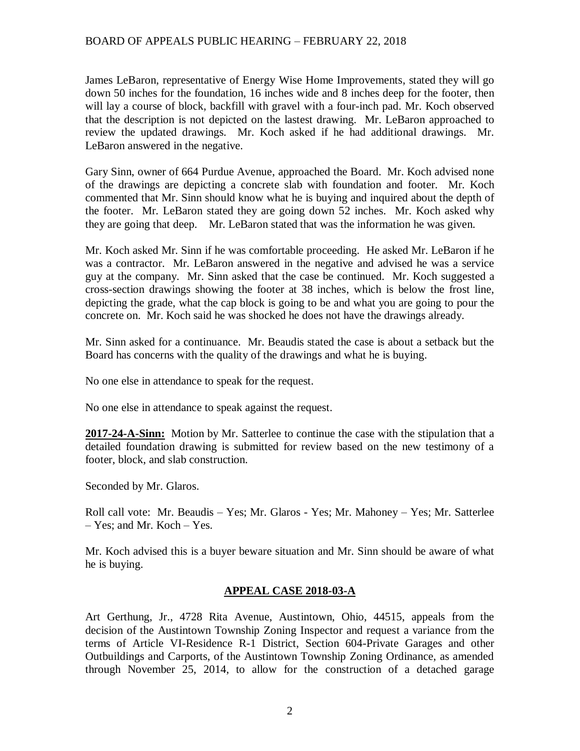James LeBaron, representative of Energy Wise Home Improvements, stated they will go down 50 inches for the foundation, 16 inches wide and 8 inches deep for the footer, then will lay a course of block, backfill with gravel with a four-inch pad. Mr. Koch observed that the description is not depicted on the lastest drawing. Mr. LeBaron approached to review the updated drawings. Mr. Koch asked if he had additional drawings. Mr. LeBaron answered in the negative.

Gary Sinn, owner of 664 Purdue Avenue, approached the Board. Mr. Koch advised none of the drawings are depicting a concrete slab with foundation and footer. Mr. Koch commented that Mr. Sinn should know what he is buying and inquired about the depth of the footer. Mr. LeBaron stated they are going down 52 inches. Mr. Koch asked why they are going that deep. Mr. LeBaron stated that was the information he was given.

Mr. Koch asked Mr. Sinn if he was comfortable proceeding. He asked Mr. LeBaron if he was a contractor. Mr. LeBaron answered in the negative and advised he was a service guy at the company. Mr. Sinn asked that the case be continued. Mr. Koch suggested a cross-section drawings showing the footer at 38 inches, which is below the frost line, depicting the grade, what the cap block is going to be and what you are going to pour the concrete on. Mr. Koch said he was shocked he does not have the drawings already.

Mr. Sinn asked for a continuance. Mr. Beaudis stated the case is about a setback but the Board has concerns with the quality of the drawings and what he is buying.

No one else in attendance to speak for the request.

No one else in attendance to speak against the request.

**2017-24-A-Sinn:** Motion by Mr. Satterlee to continue the case with the stipulation that a detailed foundation drawing is submitted for review based on the new testimony of a footer, block, and slab construction.

Seconded by Mr. Glaros.

Roll call vote: Mr. Beaudis – Yes; Mr. Glaros - Yes; Mr. Mahoney – Yes; Mr. Satterlee – Yes; and Mr. Koch – Yes.

Mr. Koch advised this is a buyer beware situation and Mr. Sinn should be aware of what he is buying.

### **APPEAL CASE 2018-03-A**

Art Gerthung, Jr., 4728 Rita Avenue, Austintown, Ohio, 44515, appeals from the decision of the Austintown Township Zoning Inspector and request a variance from the terms of Article VI-Residence R-1 District, Section 604-Private Garages and other Outbuildings and Carports, of the Austintown Township Zoning Ordinance, as amended through November 25, 2014, to allow for the construction of a detached garage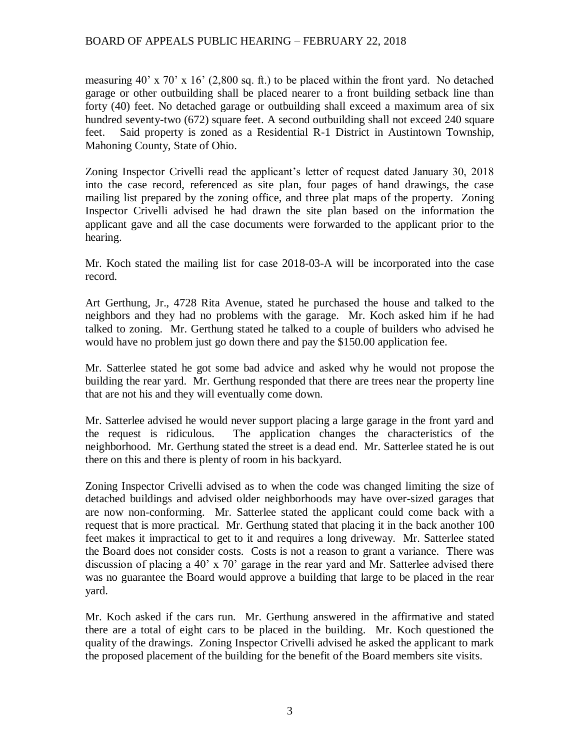measuring 40' x 70' x 16' (2,800 sq. ft.) to be placed within the front yard. No detached garage or other outbuilding shall be placed nearer to a front building setback line than forty (40) feet. No detached garage or outbuilding shall exceed a maximum area of six hundred seventy-two (672) square feet. A second outbuilding shall not exceed 240 square feet. Said property is zoned as a Residential R-1 District in Austintown Township, Mahoning County, State of Ohio.

Zoning Inspector Crivelli read the applicant's letter of request dated January 30, 2018 into the case record, referenced as site plan, four pages of hand drawings, the case mailing list prepared by the zoning office, and three plat maps of the property. Zoning Inspector Crivelli advised he had drawn the site plan based on the information the applicant gave and all the case documents were forwarded to the applicant prior to the hearing.

Mr. Koch stated the mailing list for case 2018-03-A will be incorporated into the case record.

Art Gerthung, Jr., 4728 Rita Avenue, stated he purchased the house and talked to the neighbors and they had no problems with the garage. Mr. Koch asked him if he had talked to zoning. Mr. Gerthung stated he talked to a couple of builders who advised he would have no problem just go down there and pay the \$150.00 application fee.

Mr. Satterlee stated he got some bad advice and asked why he would not propose the building the rear yard. Mr. Gerthung responded that there are trees near the property line that are not his and they will eventually come down.

Mr. Satterlee advised he would never support placing a large garage in the front yard and the request is ridiculous. The application changes the characteristics of the neighborhood. Mr. Gerthung stated the street is a dead end. Mr. Satterlee stated he is out there on this and there is plenty of room in his backyard.

Zoning Inspector Crivelli advised as to when the code was changed limiting the size of detached buildings and advised older neighborhoods may have over-sized garages that are now non-conforming. Mr. Satterlee stated the applicant could come back with a request that is more practical. Mr. Gerthung stated that placing it in the back another 100 feet makes it impractical to get to it and requires a long driveway. Mr. Satterlee stated the Board does not consider costs. Costs is not a reason to grant a variance. There was discussion of placing a 40' x 70' garage in the rear yard and Mr. Satterlee advised there was no guarantee the Board would approve a building that large to be placed in the rear yard.

Mr. Koch asked if the cars run. Mr. Gerthung answered in the affirmative and stated there are a total of eight cars to be placed in the building. Mr. Koch questioned the quality of the drawings. Zoning Inspector Crivelli advised he asked the applicant to mark the proposed placement of the building for the benefit of the Board members site visits.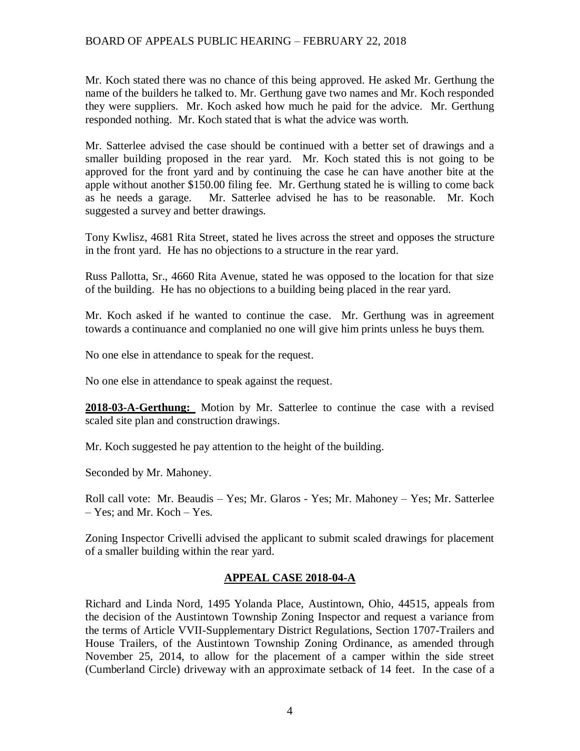Mr. Koch stated there was no chance of this being approved. He asked Mr. Gerthung the name of the builders he talked to. Mr. Gerthung gave two names and Mr. Koch responded they were suppliers. Mr. Koch asked how much he paid for the advice. Mr. Gerthung responded nothing. Mr. Koch stated that is what the advice was worth.

Mr. Satterlee advised the case should be continued with a better set of drawings and a smaller building proposed in the rear yard. Mr. Koch stated this is not going to be approved for the front yard and by continuing the case he can have another bite at the apple without another \$150.00 filing fee. Mr. Gerthung stated he is willing to come back as he needs a garage. Mr. Satterlee advised he has to be reasonable. Mr. Koch suggested a survey and better drawings.

Tony Kwlisz, 4681 Rita Street, stated he lives across the street and opposes the structure in the front yard. He has no objections to a structure in the rear yard.

Russ Pallotta, Sr., 4660 Rita Avenue, stated he was opposed to the location for that size of the building. He has no objections to a building being placed in the rear yard.

Mr. Koch asked if he wanted to continue the case. Mr. Gerthung was in agreement towards a continuance and complanied no one will give him prints unless he buys them.

No one else in attendance to speak for the request.

No one else in attendance to speak against the request.

**2018-03-A-Gerthung:** Motion by Mr. Satterlee to continue the case with a revised scaled site plan and construction drawings.

Mr. Koch suggested he pay attention to the height of the building.

Seconded by Mr. Mahoney.

Roll call vote: Mr. Beaudis – Yes; Mr. Glaros - Yes; Mr. Mahoney – Yes; Mr. Satterlee – Yes; and Mr. Koch – Yes.

Zoning Inspector Crivelli advised the applicant to submit scaled drawings for placement of a smaller building within the rear yard.

### **APPEAL CASE 2018-04-A**

Richard and Linda Nord, 1495 Yolanda Place, Austintown, Ohio, 44515, appeals from the decision of the Austintown Township Zoning Inspector and request a variance from the terms of Article VVII-Supplementary District Regulations, Section 1707-Trailers and House Trailers, of the Austintown Township Zoning Ordinance, as amended through November 25, 2014, to allow for the placement of a camper within the side street (Cumberland Circle) driveway with an approximate setback of 14 feet. In the case of a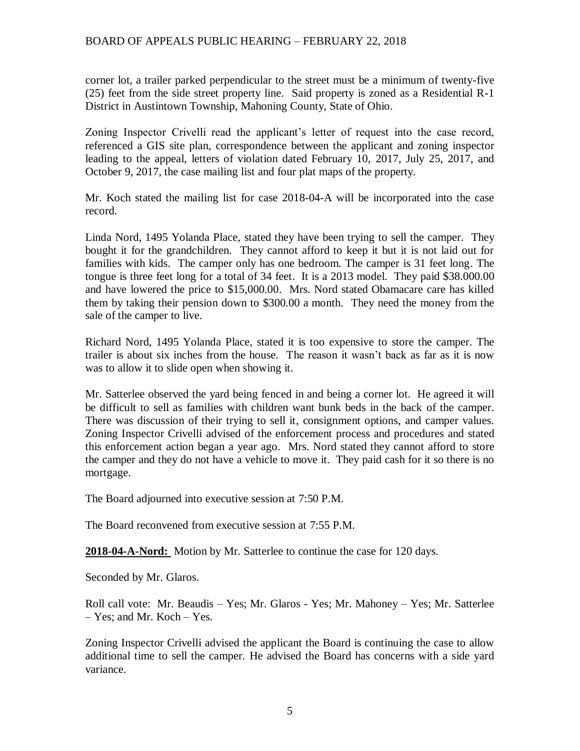corner lot, a trailer parked perpendicular to the street must be a minimum of twenty-five (25) feet from the side street property line. Said property is zoned as a Residential R-1 District in Austintown Township, Mahoning County, State of Ohio.

Zoning Inspector Crivelli read the applicant's letter of request into the case record, referenced a GIS site plan, correspondence between the applicant and zoning inspector leading to the appeal, letters of violation dated February 10, 2017, July 25, 2017, and October 9, 2017, the case mailing list and four plat maps of the property.

Mr. Koch stated the mailing list for case 2018-04-A will be incorporated into the case record.

Linda Nord, 1495 Yolanda Place, stated they have been trying to sell the camper. They bought it for the grandchildren. They cannot afford to keep it but it is not laid out for families with kids. The camper only has one bedroom. The camper is 31 feet long. The tongue is three feet long for a total of 34 feet. It is a 2013 model. They paid \$38.000.00 and have lowered the price to \$15,000.00. Mrs. Nord stated Obamacare care has killed them by taking their pension down to \$300.00 a month. They need the money from the sale of the camper to live.

Richard Nord, 1495 Yolanda Place, stated it is too expensive to store the camper. The trailer is about six inches from the house. The reason it wasn't back as far as it is now was to allow it to slide open when showing it.

Mr. Satterlee observed the yard being fenced in and being a corner lot. He agreed it will be difficult to sell as families with children want bunk beds in the back of the camper. There was discussion of their trying to sell it, consignment options, and camper values. Zoning Inspector Crivelli advised of the enforcement process and procedures and stated this enforcement action began a year ago. Mrs. Nord stated they cannot afford to store the camper and they do not have a vehicle to move it. They paid cash for it so there is no mortgage.

The Board adjourned into executive session at 7:50 P.M.

The Board reconvened from executive session at 7:55 P.M.

**2018-04-A-Nord:** Motion by Mr. Satterlee to continue the case for 120 days.

Seconded by Mr. Glaros.

Roll call vote: Mr. Beaudis – Yes; Mr. Glaros - Yes; Mr. Mahoney – Yes; Mr. Satterlee – Yes; and Mr. Koch – Yes.

Zoning Inspector Crivelli advised the applicant the Board is continuing the case to allow additional time to sell the camper. He advised the Board has concerns with a side yard variance.